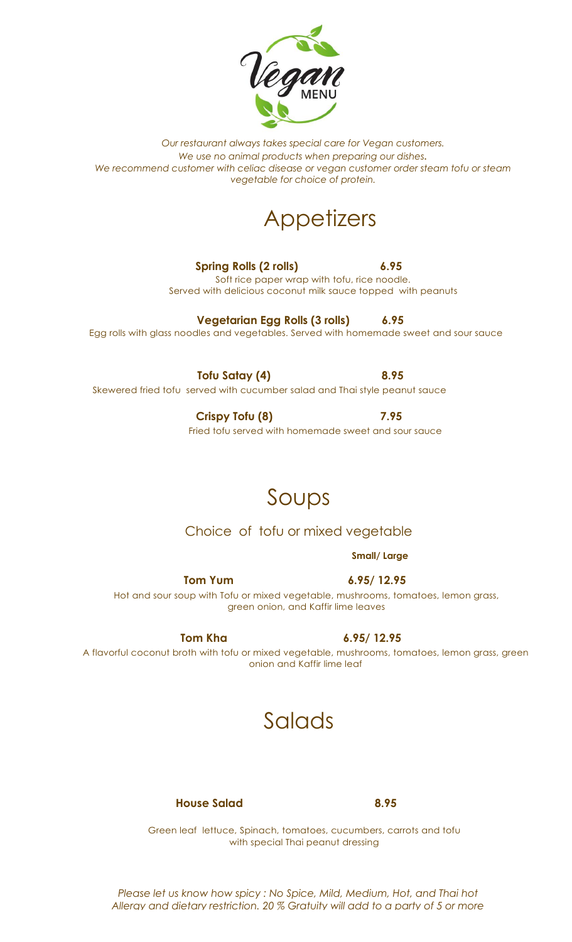

## **Appetizers**

**Spring Rolls (2 rolls) 6.95** Soft rice paper wrap with tofu, rice noodle.

Served with delicious coconut milk sauce topped with peanuts

**Vegetarian Egg Rolls (3 rolls) 6.95** Egg rolls with glass noodles and vegetables. Served with homemade sweet and sour sauce

**Tofu Satay (4) 8.95** Skewered fried tofu served with cucumber salad and Thai style peanut sauce

> **Crispy Tofu (8) 7.95** Fried tofu served with homemade sweet and sour sauce

## Soups

### Choice of tofu or mixed vegetable

**Small/ Large**

 **Tom Yum 6.95/ 12.95** Hot and sour soup with Tofu or mixed vegetable, mushrooms, tomatoes, lemon grass, green onion, and Kaffir lime leaves

A flavorful coconut broth with tofu or mixed vegetable, mushrooms, tomatoes, lemon grass, green onion and Kaffir lime leaf

## Salads

 **House Salad 8.95**

Green leaf lettuce, Spinach, tomatoes, cucumbers, carrots and tofu with special Thai peanut dressing

*Please let us know how spicy : No Spice, Mild, Medium, Hot, and Thai hot Allergy and dietary restriction. 20 % Gratuity will add to a party of 5 or more*

 **Tom Kha** 6.95/ 12.95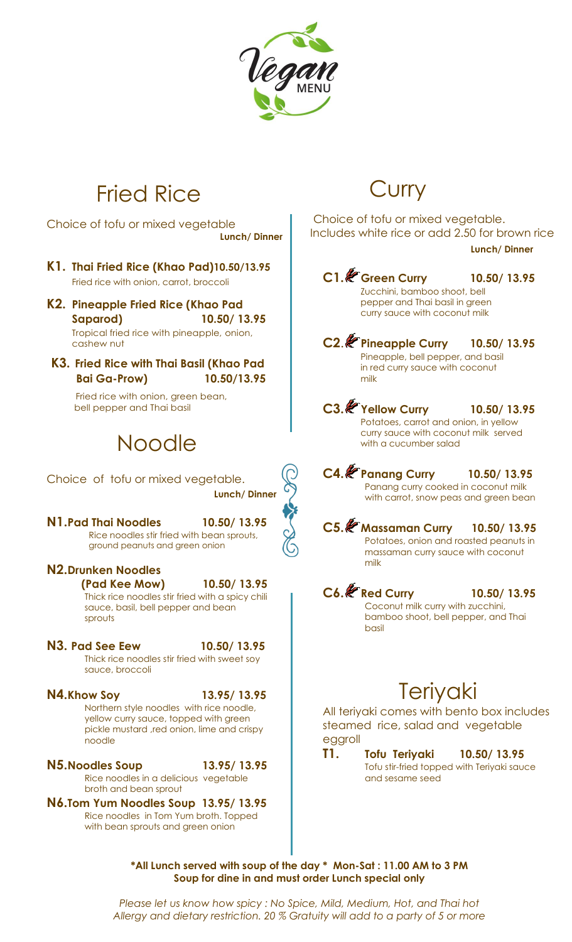

# Fried Rice

Choice of tofu or mixed vegetable **Lunch/ Dinner**

- **K1. Thai Fried Rice (Khao Pad)10.50/13.95** Fried rice with onion, carrot, broccoli
- **K2. Pineapple Fried Rice (Khao Pad Saparod) 10.50/ 13.95**

Tropical fried rice with pineapple, onion, cashew nut

**K3. Fried Rice with Thai Basil (Khao Pad Bai Ga-Prow) 10.50/13.95**

> Fried rice with onion, green bean, bell pepper and Thai basil

# Noodle

Choice of tofu or mixed vegetable. **Lunch/ Dinner**

**N1.Pad Thai Noodles 10.50/ 13.95** Rice noodles stir fried with bean sprouts, ground peanuts and green onion

- **N2.Drunken Noodles (Pad Kee Mow) 10.50/ 13.95** Thick rice noodles stir fried with a spicy chili sauce, basil, bell pepper and bean sprouts
- **N3. Pad See Eew 10.50/ 13.95** Thick rice noodles stir fried with sweet soy sauce, broccoli

**N4.Khow Soy 13.95/ 13.95** Northern style noodles with rice noodle, yellow curry sauce, topped with green pickle mustard , red onion, lime and crispy noodle

- **N5.Noodles Soup 13.95/ 13.95** Rice noodles in a delicious vegetable broth and bean sprout
- **N6.Tom Yum Noodles Soup 13.95/ 13.95** Rice noodles in Tom Yum broth. Topped with bean sprouts and green onion

## **Curry**

Choice of tofu or mixed vegetable. Includes white rice or add 2.50 for brown rice

#### **Lunch/ Dinner**

**C1. Green Curry 10.50/ 13.95** Zucchini, bamboo shoot, bell pepper and Thai basil in green curry sauce with coconut milk

**C2**. **Pineapple Curry 10.50/ 13.95** Pineapple, bell pepper, and basil in red curry sauce with coconut milk

**C3. Yellow Curry 10.50/ 13.95** Potatoes, carrot and onion, in yellow curry sauce with coconut milk served with a cucumber salad

**C4. Panang Curry 10.50/ 13.95** Panang curry cooked in coconut milk with carrot, snow peas and green bean

**C5. Massaman Curry 10.50/ 13.95** Potatoes, onion and roasted peanuts in massaman curry sauce with coconut milk

**C6. Red Curry 10.50/ 13.95** Coconut milk curry with zucchini, bamboo shoot, bell pepper, and Thai basil

## **Teriyaki**

All teriyaki comes with bento box includes steamed rice, salad and vegetable eggroll

**T1. Tofu Teriyaki 10.50/ 13.95** Tofu stir-fried topped with Teriyaki sauce and sesame seed

 $\,$  \*All Lunch served with soup of the day \*  $\,$  Mon-Sat : 11.00 AM to 3 PM  $\,$ **Soup for dine in and must order Lunch special only**

*Please let us know how spicy : No Spice, Mild, Medium, Hot, and Thai hot Allergy and dietary restriction. 20 % Gratuity will add to a party of 5 or more*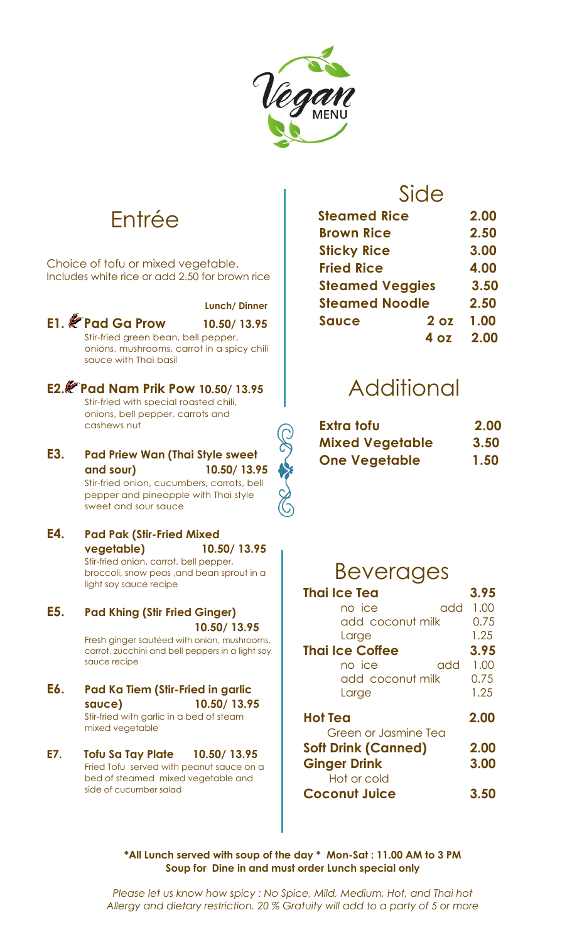

## Entrée

Choice of tofu or mixed vegetable. Includes white rice or add 2.50 for brown rice

|     |                                                                                                                                                                        | Lunch/Dinner |
|-----|------------------------------------------------------------------------------------------------------------------------------------------------------------------------|--------------|
|     | E1. <i>E</i> Pad Ga Prow<br>Stir-fried green bean, bell pepper,<br>onions, mushrooms, carrot in a spicy chili<br>sauce with Thai basil                                 | 10.50/13.95  |
|     | E2. Pad Nam Prik Pow 10.50/13.95<br>Stir-fried with special roasted chili,<br>onions, bell pepper, carrots and<br>cashews nut                                          |              |
| E3. | <b>Pad Priew Wan (Thai Style sweet</b><br>and sour)<br>Stir-fried onion, cucumbers, carrots, bell<br>pepper and pineapple with Thai style<br>sweet and sour sauce      | 10.50/13.95  |
| E4. | <b>Pad Pak (Stir-Fried Mixed</b><br>vegetable)<br>Stir-fried onion, carrot, bell pepper,<br>broccoli, snow peas , and bean sprout in a<br>light soy sauce recipe       | 10.50/13.95  |
| E5. | <b>Pad Khing (Stir Fried Ginger)</b><br>Fresh ginger sautéed with onion, mushrooms,<br>والطابط المتواطن والمتاري والمراجع والمراجع المراجع والمستعلم المتعارض والمستند | 10.50/13.95  |

carrot, zucchini and bell peppers in a light soy sauce recipe

- **E6. Pad Ka Tiem (Stir-Fried in garlic sauce) 10.50/ 13.95** Stir-fried with garlic in a bed of steam mixed vegetable
- **E7. Tofu Sa Tay Plate 10.50/ 13.95** Fried Tofu served with peanut sauce on a bed of steamed mixed vegetable and side of cucumber salad

## Side

| <b>Steamed Rice</b>             | 2.00 |
|---------------------------------|------|
| <b>Brown Rice</b>               | 2.50 |
| <b>Sticky Rice</b>              | 3.00 |
| <b>Fried Rice</b>               | 4.00 |
| <b>Steamed Veggies</b>          | 3.50 |
| <b>Steamed Noodle</b>           | 2.50 |
| 2 <sub>oz</sub><br><b>Sauce</b> | 1.00 |
| Δ.<br>07                        | 2.00 |

## i<br>Li Additional

| Extra tofu             | 2.00 |
|------------------------|------|
| <b>Mixed Vegetable</b> | 3.50 |
| <b>One Vegetable</b>   | 1.50 |

## Beverages

| <b>Thai Ice Tea</b>         | 3.95 |
|-----------------------------|------|
| no ice<br>add               | 1.00 |
| add coconut milk            | 0.75 |
| Large                       | 1.25 |
| <b>Thai Ice Coffee</b>      | 3.95 |
| add<br>no ice               | 1.00 |
| add coconut milk            | 0.75 |
| Large                       | 1.25 |
| <b>Hot Tea</b>              | 2.00 |
| <b>Green or Jasmine Tea</b> |      |
| <b>Soft Drink (Canned)</b>  | 2.00 |
| <b>Ginger Drink</b>         | 3.00 |
| Hot or cold                 |      |
| <b>Coconut Juice</b>        | 3.5  |

\*All Lunch served with soup of the day \* Mon-Sat : 11.00 AM to 3 PM **Soup for Dine in and must order Lunch special only**

*Please let us know how spicy : No Spice, Mild, Medium, Hot, and Thai hot Allergy and dietary restriction. 20 % Gratuity will add to a party of 5 or more*